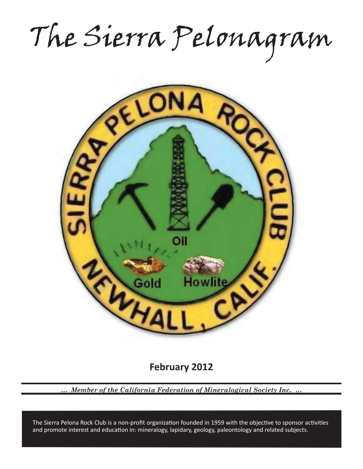The Sierra Pelonagram



**February 2012**

*… Member of the California Federation of Mineralogical Society Inc. …*

and promote interest and education in: mineralogy, lapidary, geology, paleontology and related subjects. The Sierra Pelona Rock Club is a non-profit organization founded in 1959 with the objective to sponsor activities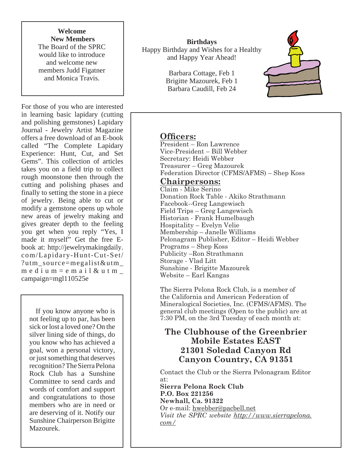**Welcome New Members** The Board of the SPRC would like to introduce and welcome new members Judd Figatner and Monica Travis.

For those of you who are interested in learning basic lapidary (cutting and polishing gemstones) Lapidary Journal - Jewelry Artist Magazine offers a free download of an E-book called "The Complete Lapidary Experience: Hunt, Cut, and Set Gems". This collection of articles takes you on a field trip to collect rough moonstone then through the cutting and polishing phases and finally to setting the stone in a piece of jewelry. Being able to cut or modify a gemstone opens up whole new areas of jewelry making and gives greater depth to the feeling you get when you reply "Yes, I made it myself" Get the free Ebook at: http://jewelrymakingdaily. com/Lapidary-Hunt-Cut-Set/ ?utm\_source=megalist&utm\_ medium = email & utm  $$ campaign=mgl110525e

 If you know anyone who is not feeling up to par, has been sick or lost a loved one? On the silver lining side of things, do you know who has achieved a goal, won a personal victory, or just something that deserves recognition? The Sierra Pelona Rock Club has a Sunshine Committee to send cards and words of comfort and support and congratulations to those members who are in need or are deserving of it. Notify our Sunshine Chairperson Brigitte Mazourek.

**Birthdays** Happy Birthday and Wishes for a Healthy and Happy Year Ahead!

> Barbara Cottage, Feb 1 Brigitte Mazourek, Feb 1 Barbara Caudill, Feb 24



# **Officers:**

President – Ron Lawrence Vice-President – Bill Webber Secretary: Heidi Webber Treasurer – Greg Mazourek Federation Director (CFMS/AFMS) – Shep Koss

# **Chairpersons:**

Claim - Mike Serino Donation Rock Table - Akiko Strathmann Facebook--Greg Langewisch Field Trips – Greg Langewisch Historian - Frank Humelbaugh Hospitality – Evelyn Velie Membership – Janelle Williams Pelonagram Publisher, Editor – Heidi Webber Programs – Shep Koss Publicity –Ron Strathmann Storage - Vlad Litt Sunshine - Brigitte Mazourek Website – Earl Kangas

The Sierra Pelona Rock Club, is a member of the California and American Federation of Mineralogical Societies, Inc. (CFMS/AFMS). The general club meetings (Open to the public) are at 7:30 PM, on the 3rd Tuesday of each month at:

# **The Clubhouse of the Greenbrier Mobile Estates EAST 21301 Soledad Canyon Rd Canyon Country, CA 91351**

Contact the Club or the Sierra Pelonagram Editor at:

**Sierra Pelona Rock Club P.O. Box 221256 Newhall, Ca. 91322** Or e-mail: hwebber@pacbell.net *Visit the SPRC website http://www.sierrapelona. com/*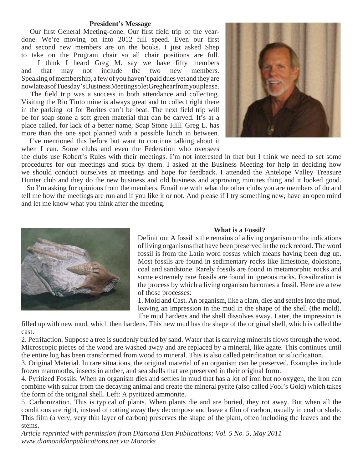#### **President's Message**

 Our first General Meeting-done. Our first field trip of the yeardone. We're moving on into 2012 full speed. Even our first and second new members are on the books. I just asked Shep to take on the Program chair so all chair positions are full.

 I think I heard Greg M. say we have fifty members and that may not include the two new members. Speaking of membership, a few of you haven't paid dues yet and they are now late as of Tuesday's Business Meeting so let Greg hear from you please.

 The field trip was a success in both attendance and collecting. Visiting the Rio Tinto mine is always great and to collect right there in the parking lot for Borites can't be beat. The next field trip will be for soap stone a soft green material that can be carved. It's at a place called, for lack of a better name, Soap Stone Hill. Greg L. has more than the one spot planned with a possible lunch in between.

 I've mentioned this before but want to continue talking about it when I can. Some clubs and even the Federation who oversees



the clubs use Robert's Rules with their meetings. I'm not interested in that but I think we need to set some procedures for our meetings and stick by them. I asked at the Business Meeting for help in deciding how we should conduct ourselves at meetings and hope for feedback. I attended the Antelope Valley Treasure Hunter club and they do the new business and old business and approving minutes thing and it looked good. So I'm asking for opinions from the members. Email me with what the other clubs you are members of do and

tell me how the meetings are run and if you like it or not. And please if I try something new, have an open mind and let me know what you think after the meeting.



#### **What is a Fossil?**

Definition: A fossil is the remains of a living organism or the indications of living organisms that have been preserved in the rock record. The word fossil is from the Latin word fossus which means having been dug up. Most fossils are found in sedimentary rocks like limestone, dolostone, coal and sandstone. Rarely fossils are found in metamorphic rocks and some extremely rare fossils are found in igneous rocks. Fossilization is the process by which a living organism becomes a fossil. Here are a few of those processes:

1. Mold and Cast. An organism, like a clam, dies and settles into the mud, leaving an impression in the mud in the shape of the shell (the mold). The mud hardens and the shell dissolves away. Later, the impression is

filled up with new mud, which then hardens. This new mud has the shape of the original shell, which is called the cast.

2. Petrifaction. Suppose a tree is suddenly buried by sand. Water that is carrying minerals flows through the wood. Microscopic pieces of the wood are washed away and are replaced by a mineral, like agate. This continues until the entire log has been transformed from wood to mineral. This is also called petrification or silicification.

3. Original Material. In rare situations, the original material of an organism can be preserved. Examples include frozen mammoths, insects in amber, and sea shells that are preserved in their original form.

4. Pyritized Fossils. When an organism dies and settles in mud that has a lot of iron but no oxygen, the iron can combine with sulfur from the decaying animal and create the mineral pyrite (also called Fool's Gold) which takes the form of the original shell. Left: A pyritized ammonite.

5. Carbonization. This is typical of plants. When plants die and are buried, they rot away. But when all the conditions are right, instead of rotting away they decompose and leave a film of carbon, usually in coal or shale. This film (a very, very thin layer of carbon) preserves the shape of the plant, often including the leaves and the stems.

*Article reprinted with permission from Diamond Dan Publications; Vol. 5 No. 5, May 2011 www.diamonddanpublications.net via Morocks*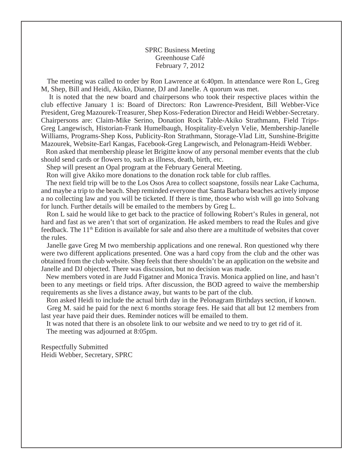SPRC Business Meeting Greenhouse Café February 7, 2012

 The meeting was called to order by Ron Lawrence at 6:40pm. In attendance were Ron L, Greg M, Shep, Bill and Heidi, Akiko, Dianne, DJ and Janelle. A quorum was met.

 It is noted that the new board and chairpersons who took their respective places within the club effective January 1 is: Board of Directors: Ron Lawrence-President, Bill Webber-Vice President, Greg Mazourek-Treasurer, Shep Koss-Federation Director and Heidi Webber-Secretary. Chairpersons are: Claim-Mike Serino, Donation Rock Table-Akiko Strathmann, Field Trips-Greg Langewisch, Historian-Frank Humelbaugh, Hospitality-Evelyn Velie, Membership-Janelle Williams, Programs-Shep Koss, Publicity-Ron Strathmann, Storage-Vlad Litt, Sunshine-Brigitte Mazourek, Website-Earl Kangas, Facebook-Greg Langewisch, and Pelonagram-Heidi Webber.

 Ron asked that membership please let Brigitte know of any personal member events that the club should send cards or flowers to, such as illness, death, birth, etc.

Shep will present an Opal program at the February General Meeting.

Ron will give Akiko more donations to the donation rock table for club raffles.

 The next field trip will be to the Los Osos Area to collect soapstone, fossils near Lake Cachuma, and maybe a trip to the beach. Shep reminded everyone that Santa Barbara beaches actively impose a no collecting law and you will be ticketed. If there is time, those who wish will go into Solvang for lunch. Further details will be emailed to the members by Greg L.

 Ron L said he would like to get back to the practice of following Robert's Rules in general, not hard and fast as we aren't that sort of organization. He asked members to read the Rules and give feedback. The 11<sup>th</sup> Edition is available for sale and also there are a multitude of websites that cover the rules.

 Janelle gave Greg M two membership applications and one renewal. Ron questioned why there were two different applications presented. One was a hard copy from the club and the other was obtained from the club website. Shep feels that there shouldn't be an application on the website and Janelle and DJ objected. There was discussion, but no decision was made.

 New members voted in are Judd Figatner and Monica Travis. Monica applied on line, and hasn't been to any meetings or field trips. After discussion, the BOD agreed to waive the membership requirements as she lives a distance away, but wants to be part of the club.

 Ron asked Heidi to include the actual birth day in the Pelonagram Birthdays section, if known. Greg M. said he paid for the next 6 months storage fees. He said that all but 12 members from last year have paid their dues. Reminder notices will be emailed to them.

 It was noted that there is an obsolete link to our website and we need to try to get rid of it. The meeting was adjourned at 8:05pm.

Respectfully Submitted Heidi Webber, Secretary, SPRC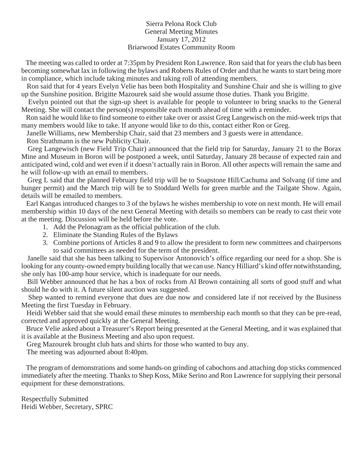## Sierra Pelona Rock Club General Meeting Minutes January 17, 2012 Briarwood Estates Community Room

 The meeting was called to order at 7:35pm by President Ron Lawrence. Ron said that for years the club has been becoming somewhat lax in following the bylaws and Roberts Rules of Order and that he wants to start being more in compliance, which include taking minutes and taking roll of attending members.

 Ron said that for 4 years Evelyn Velie has been both Hospitality and Sunshine Chair and she is willing to give up the Sunshine position. Brigitte Mazourek said she would assume those duties. Thank you Brigitte.

 Evelyn pointed out that the sign-up sheet is available for people to volunteer to bring snacks to the General Meeting. She will contact the person(s) responsible each month ahead of time with a reminder.

 Ron said he would like to find someone to either take over or assist Greg Langewisch on the mid-week trips that many members would like to take. If anyone would like to do this, contact either Ron or Greg.

Janelle Williams, new Membership Chair, said that 23 members and 3 guests were in attendance.

Ron Strathmann is the new Publicity Chair.

 Greg Langewisch (new Field Trip Chair) announced that the field trip for Saturday, January 21 to the Borax Mine and Museum in Boron will be postponed a week, until Saturday, January 28 because of expected rain and anticipated wind, cold and wet even if it doesn't actually rain in Boron. All other aspects will remain the same and he will follow-up with an email to members.

 Greg L said that the planned February field trip will be to Soapstone Hill/Cachuma and Solvang (if time and hunger permit) and the March trip will be to Stoddard Wells for green marble and the Tailgate Show. Again, details will be emailed to members.

 Earl Kangas introduced changes to 3 of the bylaws he wishes membership to vote on next month. He will email membership within 10 days of the next General Meeting with details so members can be ready to cast their vote at the meeting. Discussion will be held before the vote.

- 1. Add the Pelonagram as the official publication of the club.
- 2. Eliminate the Standing Rules of the Bylaws
- 3. Combine portions of Articles 8 and 9 to allow the president to form new committees and chairpersons to said committees as needed for the term of the president.

 Janelle said that she has been talking to Supervisor Antonovich's office regarding our need for a shop. She is looking for any county-owned empty building locally that we can use. Nancy Hilliard's kind offer notwithstanding, she only has 100-amp hour service, which is inadequate for our needs.

 Bill Webber announced that he has a box of rocks from Al Brown containing all sorts of good stuff and what should he do with it. A future silent auction was suggested.

 Shep wanted to remind everyone that dues are due now and considered late if not received by the Business Meeting the first Tuesday in February.

 Heidi Webber said that she would email these minutes to membership each month so that they can be pre-read, corrected and approved quickly at the General Meeting.

 Bruce Velie asked about a Treasurer's Report being presented at the General Meeting, and it was explained that it is available at the Business Meeting and also upon request.

Greg Mazourek brought club hats and shirts for those who wanted to buy any.

The meeting was adjourned about 8:40pm.

 The program of demonstrations and some hands-on grinding of cabochons and attaching dop sticks commenced immediately after the meeting. Thanks to Shep Koss, Mike Serino and Ron Lawrence for supplying their personal equipment for these demonstrations.

Respectfully Submitted Heidi Webber, Secretary, SPRC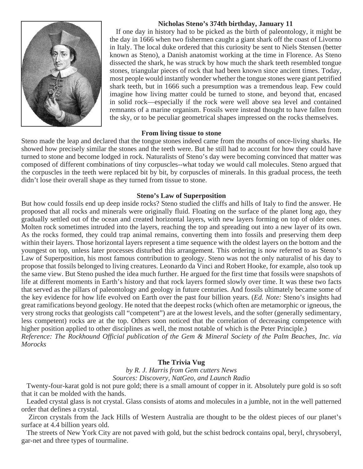## **Nicholas Steno's 374th birthday, January 11**

 If one day in history had to be picked as the birth of paleontology, it might be the day in 1666 when two fishermen caught a giant shark off the coast of Livorno in Italy. The local duke ordered that this curiosity be sent to Niels Stensen (better known as Steno), a Danish anatomist working at the time in Florence. As Steno dissected the shark, he was struck by how much the shark teeth resembled tongue stones, triangular pieces of rock that had been known since ancient times. Today, most people would instantly wonder whether the tongue stones were giant petrified shark teeth, but in 1666 such a presumption was a tremendous leap. Few could imagine how living matter could be turned to stone, and beyond that, encased in solid rock—especially if the rock were well above sea level and contained remnants of a marine organism. Fossils were instead thought to have fallen from the sky, or to be peculiar geometrical shapes impressed on the rocks themselves.

#### **From living tissue to stone**

Steno made the leap and declared that the tongue stones indeed came from the mouths of once-living sharks. He showed how precisely similar the stones and the teeth were. But he still had to account for how they could have turned to stone and become lodged in rock. Naturalists of Steno's day were becoming convinced that matter was composed of different combinations of tiny corpuscles--what today we would call molecules. Steno argued that the corpuscles in the teeth were replaced bit by bit, by corpuscles of minerals. In this gradual process, the teeth didn't lose their overall shape as they turned from tissue to stone.

## **Steno's Law of Superposition**

But how could fossils end up deep inside rocks? Steno studied the cliffs and hills of Italy to find the answer. He proposed that all rocks and minerals were originally fluid. Floating on the surface of the planet long ago, they gradually settled out of the ocean and created horizontal layers, with new layers forming on top of older ones. Molten rock sometimes intruded into the layers, reaching the top and spreading out into a new layer of its own. As the rocks formed, they could trap animal remains, converting them into fossils and preserving them deep within their layers. Those horizontal layers represent a time sequence with the oldest layers on the bottom and the youngest on top, unless later processes disturbed this arrangement. This ordering is now referred to as Steno's Law of Superposition, his most famous contribution to geology. Steno was not the only naturalist of his day to propose that fossils belonged to living creatures. Leonardo da Vinci and Robert Hooke, for example, also took up the same view. But Steno pushed the idea much further. He argued for the first time that fossils were snapshots of life at different moments in Earth's history and that rock layers formed slowly over time. It was these two facts that served as the pillars of paleontology and geology in future centuries. And fossils ultimately became some of the key evidence for how life evolved on Earth over the past four billion years. (*Ed. Note:* Steno's insights had great ramifications beyond geology. He noted that the deepest rocks (which often are metamorphic or igneous, the very strong rocks that geologists call "competent") are at the lowest levels, and the softer (generally sedimentary, less competent) rocks are at the top. Others soon noticed that the correlation of decreasing competence with higher position applied to other disciplines as well, the most notable of which is the Peter Principle.) *Reference: The Rockhound Official publication of the Gem & Mineral Society of the Palm Beaches, Inc. via Morocks* 

# **The Trivia Vug**

*by R. J. Harris from Gem cutters News Sources: Discovery, NatGeo, and Launch Radio*

 Twenty-four-karat gold is not pure gold; there is a small amount of copper in it. Absolutely pure gold is so soft that it can be molded with the hands.

 Leaded crystal glass is not crystal. Glass consists of atoms and molecules in a jumble, not in the well patterned order that defines a crystal.

 Zircon crystals from the Jack Hills of Western Australia are thought to be the oldest pieces of our planet's surface at 4.4 billion years old.

 The streets of New York City are not paved with gold, but the schist bedrock contains opal, beryl, chrysoberyl, gar-net and three types of tourmaline.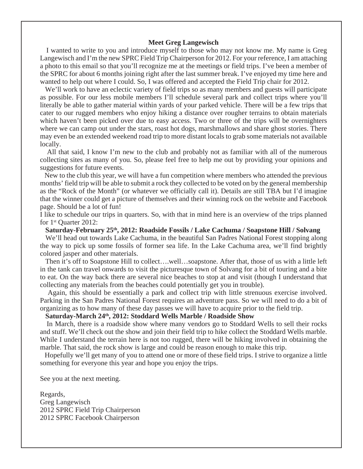#### **Meet Greg Langewisch**

 I wanted to write to you and introduce myself to those who may not know me. My name is Greg Langewisch and I'm the new SPRC Field Trip Chairperson for 2012. For your reference, I am attaching a photo to this email so that you'll recognize me at the meetings or field trips. I've been a member of the SPRC for about 6 months joining right after the last summer break. I've enjoyed my time here and wanted to help out where I could. So, I was offered and accepted the Field Trip chair for 2012.

We'll work to have an eclectic variety of field trips so as many members and guests will participate as possible. For our less mobile members I'll schedule several park and collect trips where you'll literally be able to gather material within yards of your parked vehicle. There will be a few trips that cater to our rugged members who enjoy hiking a distance over rougher terrains to obtain materials which haven't been picked over due to easy access. Two or three of the trips will be overnighters where we can camp out under the stars, roast hot dogs, marshmallows and share ghost stories. There may even be an extended weekend road trip to more distant locals to grab some materials not available locally.

 All that said, I know I'm new to the club and probably not as familiar with all of the numerous collecting sites as many of you. So, please feel free to help me out by providing your opinions and suggestions for future events.

 New to the club this year, we will have a fun competition where members who attended the previous months' field trip will be able to submit a rock they collected to be voted on by the general membership as the "Rock of the Month" (or whatever we officially call it). Details are still TBA but I'd imagine that the winner could get a picture of themselves and their winning rock on the website and Facebook page. Should be a lot of fun!

I like to schedule our trips in quarters. So, with that in mind here is an overview of the trips planned for 1st Quarter 2012:

**Saturday-February 25th, 2012: Roadside Fossils / Lake Cachuma / Soapstone Hill / Solvang**

 We'll head out towards Lake Cachuma, in the beautiful San Padres National Forest stopping along the way to pick up some fossils of former sea life. In the Lake Cachuma area, we'll find brightly colored jasper and other materials.

 Then it's off to Soapstone Hill to collect….well…soapstone. After that, those of us with a little left in the tank can travel onwards to visit the picturesque town of Solvang for a bit of touring and a bite to eat. On the way back there are several nice beaches to stop at and visit (though I understand that collecting any materials from the beaches could potentially get you in trouble).

 Again, this should be essentially a park and collect trip with little strenuous exercise involved. Parking in the San Padres National Forest requires an adventure pass. So we will need to do a bit of organizing as to how many of these day passes we will have to acquire prior to the field trip.

#### **Saturday-March 24th, 2012: Stoddard Wells Marble / Roadside Show**

 In March, there is a roadside show where many vendors go to Stoddard Wells to sell their rocks and stuff. We'll check out the show and join their field trip to hike collect the Stoddard Wells marble. While I understand the terrain here is not too rugged, there will be hiking involved in obtaining the marble. That said, the rock show is large and could be reason enough to make this trip.

 Hopefully we'll get many of you to attend one or more of these field trips. I strive to organize a little something for everyone this year and hope you enjoy the trips.

See you at the next meeting.

Regards, Greg Langewisch 2012 SPRC Field Trip Chairperson 2012 SPRC Facebook Chairperson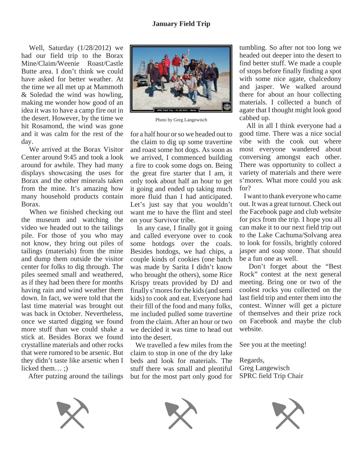Well, Saturday (1/28/2012) we had our field trip to the Borax Mine/Claim/Weenie Roast/Castle Butte area. I don't think we could have asked for better weather. At the time we all met up at Mammoth & Soledad the wind was howling, making me wonder how good of an idea it was to have a camp fire out in the desert. However, by the time we hit Rosamond, the wind was gone and it was calm for the rest of the day.

 We arrived at the Borax Visitor Center around 9:45 and took a look around for awhile. They had many displays showcasing the uses for Borax and the other minerals taken from the mine. It's amazing how many household products contain Borax.

 When we finished checking out the museum and watching the video we headed out to the tailings pile. For those of you who may not know, they bring out piles of tailings (materials) from the mine and dump them outside the visitor center for folks to dig through. The piles seemed small and weathered, as if they had been there for months having rain and wind weather them down. In fact, we were told that the last time material was brought out was back in October. Nevertheless, once we started digging we found more stuff than we could shake a stick at. Besides Borax we found crystalline materials and other rocks that were rumored to be arsenic. But they didn't taste like arsenic when I licked them… ;)

After putzing around the tailings



Photo by Greg Langewisch

for a half hour or so we headed out to the claim to dig up some travertine and roast some hot dogs. As soon as we arrived, I commenced building a fire to cook some dogs on. Being the great fire starter that I am, it only took about half an hour to get it going and ended up taking much more fluid than I had anticipated. Let's just say that you wouldn't want me to have the flint and steel on your Survivor tribe.

 In any case, I finally got it going and called everyone over to cook some hotdogs over the coals. Besides hotdogs, we had chips, a couple kinds of cookies (one batch was made by Sarita I didn't know who brought the others), some Rice Krispy treats provided by DJ and finally s'mores for the kids (and semi kids) to cook and eat. Everyone had their fill of the food and many folks, me included pulled some travertine from the claim. After an hour or two we decided it was time to head out into the desert.

 We travelled a few miles from the claim to stop in one of the dry lake beds and look for materials. The stuff there was small and plentiful but for the most part only good for tumbling. So after not too long we headed out deeper into the desert to find better stuff. We made a couple of stops before finally finding a spot with some nice agate, chalcedony and jasper. We walked around there for about an hour collecting materials. I collected a bunch of agate that I thought might look good cabbed up.

 All in all I think everyone had a good time. There was a nice social vibe with the cook out where most everyone wandered about conversing amongst each other. There was opportunity to collect a variety of materials and there were s'mores. What more could you ask for?

 I want to thank everyone who came out. It was a great turnout. Check out the Facebook page and club website for pics from the trip. I hope you all can make it to our next field trip out to the Lake Cachuma/Solvang area to look for fossils, brightly colored jasper and soap stone. That should be a fun one as well.

 Don't forget about the "Best Rock" contest at the next general meeting. Bring one or two of the coolest rocks you collected on the last field trip and enter them into the contest. Winner will get a picture of themselves and their prize rock on Facebook and maybe the club website.

See you at the meeting!

Regards, Greg Langewisch SPRC field Trip Chair





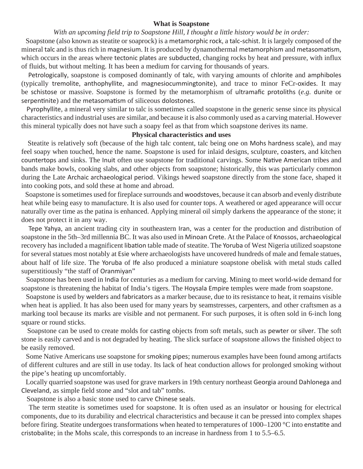#### **What is Soapstone**

#### *With an upcoming field trip to Soapstone Hill, I thought a little history would be in order:*

 Soapstone (also known as steatite or soaprock) is a metamorphic rock, a talc-schist. It is largely composed of the mineral talc and is thus rich in magnesium. It is produced by dynamothermal metamorphism and metasomatism, which occurs in the areas where tectonic plates are subducted, changing rocks by heat and pressure, with influx of fluids, but without melting. It has been a medium for carving for thousands of years.

 Petrologically, soapstone is composed dominantly of talc, with varying amounts of chlorite and amphiboles (typically tremolite, anthophyllite, and magnesiocummingtonite), and trace to minor FeCr-oxides. It may be schistose or massive. Soapstone is formed by the metamorphism of ultramafic protoliths (e.g. dunite or serpentinite) and the metasomatism of siliceous dolostones.

 Pyrophyllite, a mineral very similar to talc is sometimes called soapstone in the generic sense since its physical characteristics and industrial uses are similar,and because it is also commonly used as a carving material. However this mineral typically does not have such a soapy feel as that from which soapstone derives its name.

#### **Physical characteristics and uses**

 Steatite is relatively soft (because of the high talc content, talc being one on Mohs hardness scale), and may feel soapy when touched, hence the name. Soapstone is used for inlaid designs, sculpture, coasters, and kitchen countertops and sinks. The Inuit often use soapstone for traditional carvings. Some Native American tribes and bands make bowls, cooking slabs, and other objects from soapstone; historically, this was particularly common during the Late Archaic archaeological period. Vikings hewed soapstone directly from the stone face, shaped it into cooking pots, and sold these at home and abroad.

 Soapstone is sometimes used for fireplace surrounds and woodstoves, because it can absorb and evenly distribute heat while being easy to manufacture. It is also used for counter tops. A weathered or aged appearance will occur naturally over time as the patina is enhanced. Applying mineral oil simply darkens the appearance of the stone; it does not protect it in any way.

 Tepe Yahya, an ancient trading city in southeastern Iran, was a center for the production and distribution of soapstone in the 5th–3rd millennia BC. It was also used in Minoan Crete. At the Palace of Knossos, archaeological recovery has included a magnificent libation table made of steatite. The Yoruba of West Nigeria utilized soapstone for several statues most notably at Esie where archaeologists have uncovered hundreds of male and female statues, about half of life size. The Yoruba of Ife also produced a miniature soapstone obelisk with metal studs called superstitiously "the staff of Oranmiyan"

 Soapstone has been used in India for centuries as a medium for carving. Mining to meet world-wide demand for soapstone is threatening the habitat of India's tigers. The Hoysala Empire temples were made from soapstone.

 Soapstone is used by welders and fabricators as a marker because, due to its resistance to heat, it remains visible when heat is applied. It has also been used for many years by seamstresses, carpenters, and other craftsmen as a marking tool because its marks are visible and not permanent. For such purposes, it is often sold in 6-inch long square or round sticks.

Soapstone can be used to create molds for casting objects from soft metals, such as pewter or silver. The soft stone is easily carved and is not degraded by heating. The slick surface of soapstone allows the finished object to be easily removed.

 Some Native Americans use soapstone for smoking pipes; numerous examples have been found among artifacts of different cultures and are still in use today. Its lack of heat conduction allows for prolonged smoking without the pipe's heating up uncomfortably.

 Locally quarried soapstone was used for grave markers in 19th century northeast Georgia around Dahlonega and Cleveland, as simple field stone and "slot and tab" tombs.

Soapstone is also a basic stone used to carve Chinese seals.

 The term steatite is sometimes used for soapstone. It is often used as an insulator or housing for electrical components, due to its durability and electrical characteristics and because it can be pressed into complex shapes before firing. Steatite undergoes transformations when heated to temperatures of 1000–1200 °C into enstatite and cristobalite; in the Mohs scale, this corresponds to an increase in hardness from 1 to 5.5–6.5.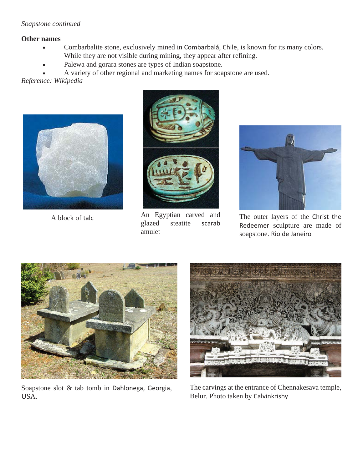# *Soapstone continued*

# **Other names**

- Combarbalite stone, exclusively mined in Combarbalá, Chile, is known for its many colors. While they are not visible during mining, they appear after refining.
- Palewa and gorara stones are types of Indian soapstone.

• A variety of other regional and marketing names for soapstone are used.

*Reference: Wikipedia*





An Egyptian carved and steatite amulet



A block of talc **A** block of talc **The outer layers of the Christ** the scare and **The outer layers of the Christ** the scare and of Redeemer sculpture are made of soapstone. Rio de Janeiro



Soapstone slot & tab tomb in Dahlonega, Georgia, USA.



The carvings at the entrance of Chennakesava temple, Belur. Photo taken by Calvinkrishy